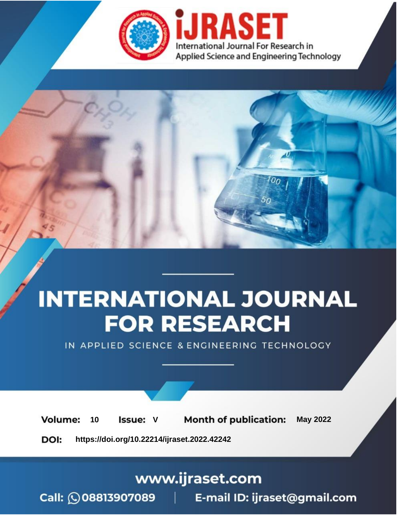

# **INTERNATIONAL JOURNAL FOR RESEARCH**

IN APPLIED SCIENCE & ENGINEERING TECHNOLOGY

**Month of publication: Volume: May 2022** 10 **Issue: V** 

DOI: https://doi.org/10.22214/ijraset.2022.42242

www.ijraset.com

Call: 008813907089 | E-mail ID: ijraset@gmail.com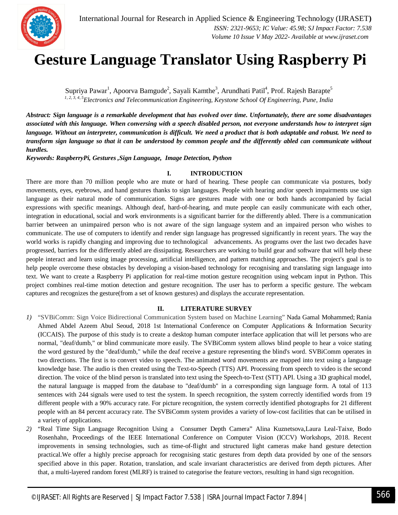

### **Gesture Language Translator Using Raspberry Pi**

Supriya Pawar<sup>1</sup>, Apoorva Bamgude<sup>2</sup>, Sayali Kamthe<sup>3</sup>, Arundhati Patil<sup>4</sup>, Prof. Rajesh Barapte<sup>5</sup> *1, 2, 3, 4, 5Electronics and Telecommunication Engineering, Keystone School Of Engineering, Pune, India*

*Abstract: Sign language is a remarkable development that has evolved over time. Unfortunately, there are some disadvantages associated with this language. When conversing with a speech disabled person, not everyone understands how to interpret sign language. Without an interpreter, communication is difficult. We need a product that is both adaptable and robust. We need to transform sign language so that it can be understood by common people and the differently abled can communicate without hurdles.*

*Keywords: RaspberryPi, Gestures ,Sign Language, Image Detection, Python*

#### **I. INTRODUCTION**

There are more than 70 million people who are mute or hard of hearing. These people can communicate via postures, body movements, eyes, eyebrows, and hand gestures thanks to sign languages. People with hearing and/or speech impairments use sign language as their natural mode of communication. Signs are gestures made with one or both hands accompanied by facial expressions with specific meanings. Although deaf, hard-of-hearing, and mute people can easily communicate with each other, integration in educational, social and work environments is a significant barrier for the differently abled. There is a communication barrier between an unimpaired person who is not aware of the sign language system and an impaired person who wishes to communicate. The use of computers to identify and render sign language has progressed significantly in recent years. The way the world works is rapidly changing and improving due to technological advancements. As programs over the last two decades have progressed, barriers for the differently abled are dissipating. Researchers are working to build gear and software that will help these people interact and learn using image processing, artificial intelligence, and pattern matching approaches. The project's goal is to help people overcome these obstacles by developing a vision-based technology for recognising and translating sign language into text. We want to create a Raspberry Pi application for real-time motion gesture recognition using webcam input in Python. This project combines real-time motion detection and gesture recognition. The user has to perform a specific gesture. The webcam captures and recognizes the gesture(from a set of known gestures) and displays the accurate representation.

#### **II. LITERATURE SURVEY**

- *1)* "SVBiComm: Sign Voice Bidirectional Communication System based on Machine Learning" Nada Gamal Mohammed; Rania Ahmed Abdel Azeem Abul Seoud, 2018 1st International Conference on Computer Applications & Information Security (ICCAIS). The purpose of this study is to create a desktop human computer interface application that will let persons who are normal, "deaf/dumb," or blind communicate more easily. The SVBiComm system allows blind people to hear a voice stating the word gestured by the "deaf/dumb," while the deaf receive a gesture representing the blind's word. SVBiComm operates in two directions. The first is to convert video to speech. The animated word movements are mapped into text using a language knowledge base. The audio is then created using the Text-to-Speech (TTS) API. Processing from speech to video is the second direction. The voice of the blind person is translated into text using the Speech-to-Text (STT) API. Using a 3D graphical model, the natural language is mapped from the database to "deaf/dumb" in a corresponding sign language form. A total of 113 sentences with 244 signals were used to test the system. In speech recognition, the system correctly identified words from 19 different people with a 90% accuracy rate. For picture recognition, the system correctly identified photographs for 21 different people with an 84 percent accuracy rate. The SVBiComm system provides a variety of low-cost facilities that can be utilised in a variety of applications.
- *2)* "Real Time Sign Language Recognition Using a Consumer Depth Camera" Alina Kuznetsova,Laura Leal-Taixe, Bodo Rosenhahn, Proceedings of the IEEE International Conference on Computer Vision (ICCV) Workshops, 2018. Recent improvements in sensing technologies, such as time-of-flight and structured light cameras make hand gesture detection practical.We offer a highly precise approach for recognising static gestures from depth data provided by one of the sensors specified above in this paper. Rotation, translation, and scale invariant characteristics are derived from depth pictures. After that, a multi-layered random forest (MLRF) is trained to categorise the feature vectors, resulting in hand sign recognition.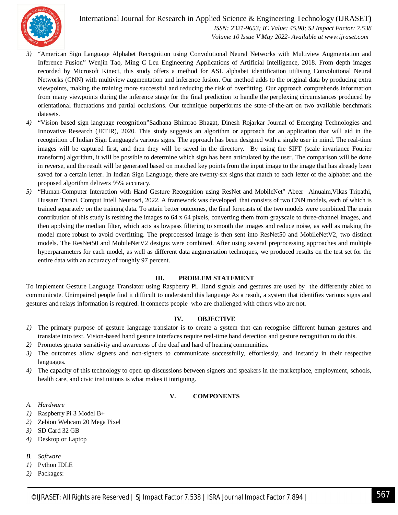

International Journal for Research in Applied Science & Engineering Technology (IJRASET**)**

 *ISSN: 2321-9653; IC Value: 45.98; SJ Impact Factor: 7.538 Volume 10 Issue V May 2022- Available at www.ijraset.com*

- *3)* "American Sign Language Alphabet Recognition using Convolutional Neural Networks with Multiview Augmentation and Inference Fusion" Wenjin Tao, Ming C Leu Engineering Applications of Artificial Intelligence, 2018. From depth images recorded by Microsoft Kinect, this study offers a method for ASL alphabet identification utilising Convolutional Neural Networks (CNN) with multiview augmentation and inference fusion. Our method adds to the original data by producing extra viewpoints, making the training more successful and reducing the risk of overfitting. Our approach comprehends information from many viewpoints during the inference stage for the final prediction to handle the perplexing circumstances produced by orientational fluctuations and partial occlusions. Our technique outperforms the state-of-the-art on two available benchmark datasets.
- *4)* "Vision based sign language recognition"Sadhana Bhimrao Bhagat, Dinesh Rojarkar Journal of Emerging Technologies and Innovative Research (JETIR), 2020. This study suggests an algorithm or approach for an application that will aid in the recognition of Indian Sign Language's various signs. The approach has been designed with a single user in mind. The real-time images will be captured first, and then they will be saved in the directory. By using the SIFT (scale invariance Fourier transform) algorithm, it will be possible to determine which sign has been articulated by the user. The comparison will be done in reverse, and the result will be generated based on matched key points from the input image to the image that has already been saved for a certain letter. In Indian Sign Language, there are twenty-six signs that match to each letter of the alphabet and the proposed algorithm delivers 95% accuracy.
- *5)* "Human-Computer Interaction with Hand Gesture Recognition using ResNet and MobileNet" Abeer Alnuaim,Vikas Tripathi, Hussam Tarazi, Comput Intell Neurosci, 2022. A framework was developed that consists of two CNN models, each of which is trained separately on the training data. To attain better outcomes, the final forecasts of the two models were combined.The main contribution of this study is resizing the images to 64 x 64 pixels, converting them from grayscale to three-channel images, and then applying the median filter, which acts as lowpass filtering to smooth the images and reduce noise, as well as making the model more robust to avoid overfitting. The preprocessed image is then sent into ResNet50 and MobileNetV2, two distinct models. The ResNet50 and MobileNetV2 designs were combined. After using several preprocessing approaches and multiple hyperparameters for each model, as well as different data augmentation techniques, we produced results on the test set for the entire data with an accuracy of roughly 97 percent.

#### **III. PROBLEM STATEMENT**

To implement Gesture Language Translator using Raspberry Pi. Hand signals and gestures are used by the differently abled to communicate. Unimpaired people find it difficult to understand this language As a result, a system that identifies various signs and gestures and relays information is required. It connects people who are challenged with others who are not.

#### **IV. OBJECTIVE**

- *1)* The primary purpose of gesture language translator is to create a system that can recognise different human gestures and translate into text. Vision-based hand gesture interfaces require real-time hand detection and gesture recognition to do this.
- *2)* Promotes greater sensitivity and awareness of the deaf and hard of hearing communities.
- *3)* The outcomes allow signers and non-signers to communicate successfully, effortlessly, and instantly in their respective languages.
- *4)* The capacity of this technology to open up discussions between signers and speakers in the marketplace, employment, schools, health care, and civic institutions is what makes it intriguing.

#### **V. COMPONENTS**

- *A. Hardware*
- *1)* Raspberry Pi 3 Model B+
- *2)* Zebion Webcam 20 Mega Pixel
- *3)* SD Card 32 GB
- *4)* Desktop or Laptop
- *B. Software*
- *1)* Python IDLE
- *2)* Packages: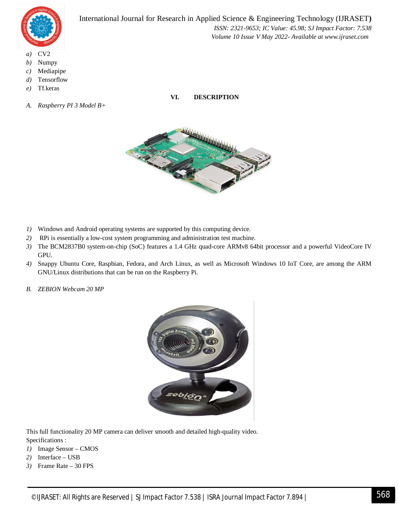

International Journal for Research in Applied Science & Engineering Technology (IJRASET**)**  *ISSN: 2321-9653; IC Value: 45.98; SJ Impact Factor: 7.538 Volume 10 Issue V May 2022- Available at www.ijraset.com*

- *a)* CV2
- *b)* Numpy
- *c)* Mediapipe
- *d)* Tensorflow
- *e)* Tf.keras
- *A. Raspberry PI 3 Model B+*



**VI. DESCRIPTION**

- *1)* Windows and Android operating systems are supported by this computing device.
- *2)* RPi is essentially a low-cost system programming and administration test machine.
- *3)* The BCM2837B0 system-on-chip (SoC) features a 1.4 GHz quad-core ARMv8 64bit processor and a powerful VideoCore IV GPU.
- *4)* Snappy Ubuntu Core, Raspbian, Fedora, and Arch Linux, as well as Microsoft Windows 10 IoT Core, are among the ARM GNU/Linux distributions that can be run on the Raspberry Pi.
- *B. ZEBION Webcam 20 MP*



This full functionality 20 MP camera can deliver smooth and detailed high-quality video. Specifications :

- *1)* Image Sensor CMOS
- *2)* Interface USB
- *3)* Frame Rate 30 FPS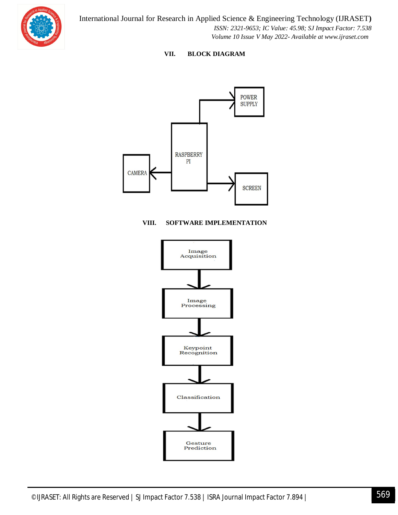

#### **VII. BLOCK DIAGRAM**



#### **VIII. SOFTWARE IMPLEMENTATION**

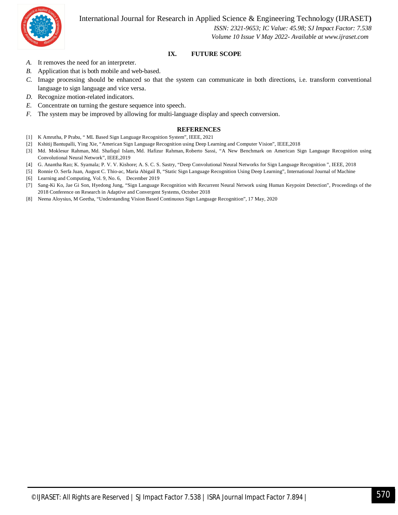International Journal for Research in Applied Science & Engineering Technology (IJRASET**)**



 *ISSN: 2321-9653; IC Value: 45.98; SJ Impact Factor: 7.538 Volume 10 Issue V May 2022- Available at www.ijraset.com*

#### **IX. FUTURE SCOPE**

- *A.* It removes the need for an interpreter.
- *B.* Application that is both mobile and web-based.
- *C.* Image processing should be enhanced so that the system can communicate in both directions, i.e. transform conventional language to sign language and vice versa.
- *D.* Recognize motion-related indicators.
- *E.* Concentrate on turning the gesture sequence into speech.
- *F.* The system may be improved by allowing for multi-language display and speech conversion.

#### **REFERENCES**

- [1] K Amrutha, P Prabu, " ML Based Sign Language Recognition System", IEEE, 2021
- [2] Kshitij Bantupalli, Ying Xie, "American Sign Language Recognition using Deep Learning and Computer Vision", IEEE,2018
- [3] Md. Moklesur Rahman, Md. Shafiqul Islam, Md. Hafizur Rahman, Roberto Sassi, "A New Benchmark on American Sign Language Recognition using Convolutional Neural Network", IEEE,2019
- [4] G. Anantha Rao; K. Syamala; P. V. V. Kishore; A. S. C. S. Sastry, "Deep Convolutional Neural Networks for Sign Language Recognition ", IEEE, 2018
- [5] Ronnie O. Serfa Juan, August C. Thio-ac, Maria Abigail B, "Static Sign Language Recognition Using Deep Learning", International Journal of Machine
- [6] Learning and Computing, Vol. 9, No. 6, December 2019
- [7] Sang-Ki Ko, Jae Gi Son, Hyedong Jung, "Sign Language Recognition with Recurrent Neural Network using Human Keypoint Detection", Proceedings of the 2018 Conference on Research in Adaptive and Convergent Systems, October 2018
- [8] Neena Aloysius, M Geetha, "Understanding Vision Based Continuous Sign Language Recognition", 17 May, 2020